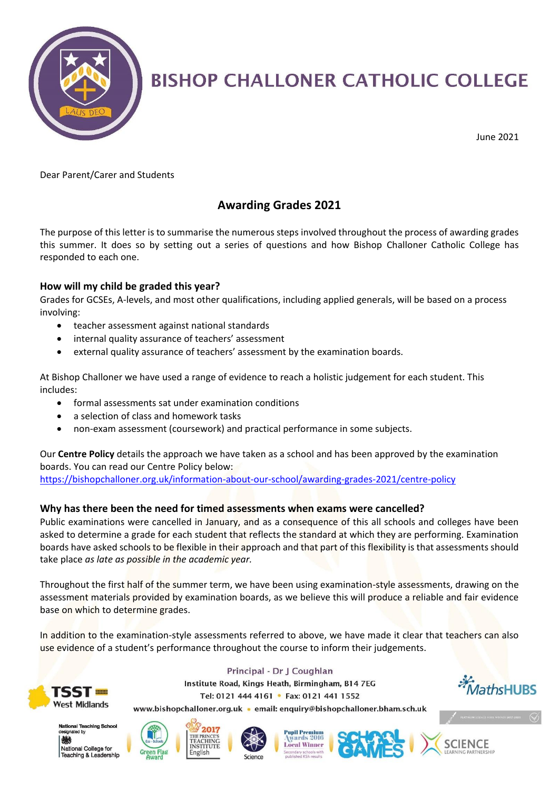

# **BISHOP CHALLONER CATHOLIC COLLEGE**

June 2021

Dear Parent/Carer and Students

### **Awarding Grades 2021**

The purpose of this letter is to summarise the numerous steps involved throughout the process of awarding grades this summer. It does so by setting out a series of questions and how Bishop Challoner Catholic College has responded to each one.

#### **How will my child be graded this year?**

Grades for GCSEs, A-levels, and most other qualifications, including applied generals, will be based on a process involving:

- teacher assessment against national standards
- internal quality assurance of teachers' assessment
- external quality assurance of teachers' assessment by the examination boards.

At Bishop Challoner we have used a range of evidence to reach a holistic judgement for each student. This includes:

- formal assessments sat under examination conditions
- a selection of class and homework tasks
- non-exam assessment (coursework) and practical performance in some subjects.

Our **Centre Policy** details the approach we have taken as a school and has been approved by the examination boards. You can read our Centre Policy below: <https://bishopchalloner.org.uk/information-about-our-school/awarding-grades-2021/centre-policy>

#### **Why has there been the need for timed assessments when exams were cancelled?**

Public examinations were cancelled in January, and as a consequence of this all schools and colleges have been asked to determine a grade for each student that reflects the standard at which they are performing. Examination boards have asked schools to be flexible in their approach and that part of this flexibility is that assessments should take place *as late as possible in the academic year.*

Throughout the first half of the summer term, we have been using examination-style assessments, drawing on the assessment materials provided by examination boards, as we believe this will produce a reliable and fair evidence base on which to determine grades.

In addition to the examination-style assessments referred to above, we have made it clear that teachers can also use evidence of a student's performance throughout the course to inform their judgements.



Principal - Dr J Coughlan Institute Road, Kings Heath, Birmingham, B14 7EG Tel: 0121 444 4161 • Fax: 0121 441 1552





National College for Teaching & Leadership









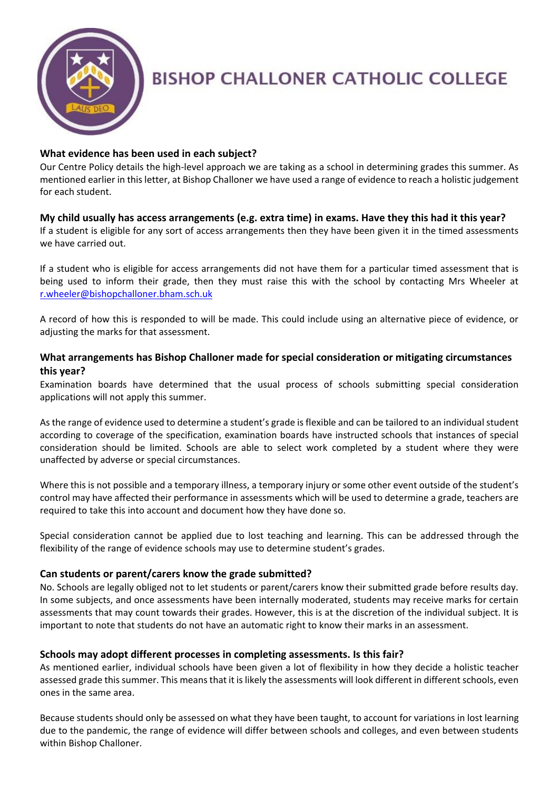

## **BISHOP CHALLONER CATHOLIC COLLEGE**

#### **What evidence has been used in each subject?**

Our Centre Policy details the high-level approach we are taking as a school in determining grades this summer. As mentioned earlier in this letter, at Bishop Challoner we have used a range of evidence to reach a holistic judgement for each student.

#### **My child usually has access arrangements (e.g. extra time) in exams. Have they this had it this year?**

If a student is eligible for any sort of access arrangements then they have been given it in the timed assessments we have carried out.

If a student who is eligible for access arrangements did not have them for a particular timed assessment that is being used to inform their grade, then they must raise this with the school by contacting Mrs Wheeler at [r.wheeler@bishopchalloner.bham.sch.uk](mailto:r.wheeler@bishopchalloner.bham.sch.uk)

A record of how this is responded to will be made. This could include using an alternative piece of evidence, or adjusting the marks for that assessment.

#### **What arrangements has Bishop Challoner made for special consideration or mitigating circumstances this year?**

Examination boards have determined that the usual process of schools submitting special consideration applications will not apply this summer.

As the range of evidence used to determine a student's grade is flexible and can be tailored to an individual student according to coverage of the specification, examination boards have instructed schools that instances of special consideration should be limited. Schools are able to select work completed by a student where they were unaffected by adverse or special circumstances.

Where this is not possible and a temporary illness, a temporary injury or some other event outside of the student's control may have affected their performance in assessments which will be used to determine a grade, teachers are required to take this into account and document how they have done so.

Special consideration cannot be applied due to lost teaching and learning. This can be addressed through the flexibility of the range of evidence schools may use to determine student's grades.

#### **Can students or parent/carers know the grade submitted?**

No. Schools are legally obliged not to let students or parent/carers know their submitted grade before results day. In some subjects, and once assessments have been internally moderated, students may receive marks for certain assessments that may count towards their grades. However, this is at the discretion of the individual subject. It is important to note that students do not have an automatic right to know their marks in an assessment.

#### **Schools may adopt different processes in completing assessments. Is this fair?**

As mentioned earlier, individual schools have been given a lot of flexibility in how they decide a holistic teacher assessed grade this summer. This means that it is likely the assessments will look different in different schools, even ones in the same area.

Because students should only be assessed on what they have been taught, to account for variations in lost learning due to the pandemic, the range of evidence will differ between schools and colleges, and even between students within Bishop Challoner.